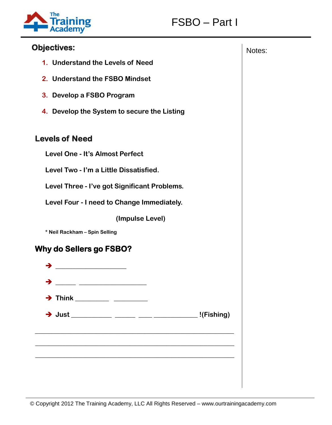



## **Objectives:** Notes: Notes: Notes: Notes: Notes: Notes: Notes: Notes: Notes: Notes: Notes: Notes: Notes: Notes: Notes: Notes: Notes: Notes: Notes: Notes: Notes: Notes: Notes: Notes: Notes: Notes: Notes: Notes: Notes: Notes

- **1. Understand the Levels of Need**
- **2. Understand the FSBO Mindset**
- **3. Develop a FSBO Program**
- **4. Develop the System to secure the Listing**

## **Levels of Need**

- **Level One - It's Almost Perfect**
- **Level Two - I'm a Little Dissatisfied.**
- **Level Three - I've got Significant Problems.**
- **Level Four - I need to Change Immediately.**
	- **(Impulse Level)**
- **\* Neil Rackham – Spin Selling**

## **Why do Sellers go FSBO?**

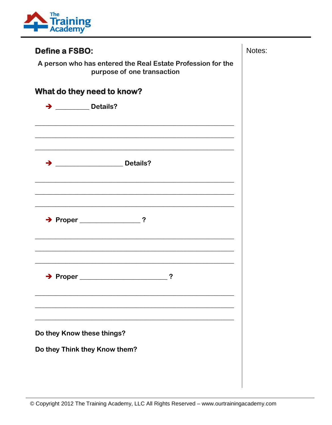

| <b>Define a FSBO:</b>                                                                                                  |  |  |
|------------------------------------------------------------------------------------------------------------------------|--|--|
| A person who has entered the Real Estate Profession for the<br>purpose of one transaction                              |  |  |
| What do they need to know?                                                                                             |  |  |
| $\rightarrow$ _____________ Details?                                                                                   |  |  |
|                                                                                                                        |  |  |
| <u> 1989 - Johann Harry Harry Harry Harry Harry Harry Harry Harry Harry Harry Harry Harry Harry Harry Harry Harry</u>  |  |  |
| → <u>______________________</u> Details?                                                                               |  |  |
|                                                                                                                        |  |  |
| <u> 1989 - Johann John Stein, market fyrir yr y brening yr y brening ymgyr y brening yr y brening yr y brening y</u>   |  |  |
|                                                                                                                        |  |  |
| <u> 1989 - Johann John Stein, markin fan it ferskearre fan it ferskearre fan it ferskearre fan it ferskearre fan i</u> |  |  |
|                                                                                                                        |  |  |
| $\rightarrow$ Proper<br>?                                                                                              |  |  |
|                                                                                                                        |  |  |
| Do they Know these things?                                                                                             |  |  |
| Do they Think they Know them?                                                                                          |  |  |
|                                                                                                                        |  |  |
|                                                                                                                        |  |  |

Notes: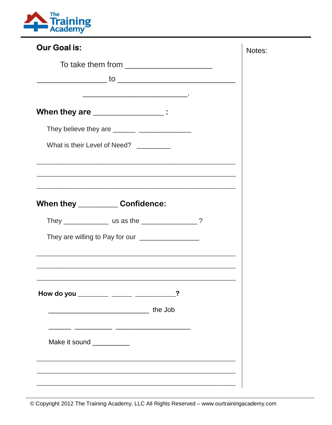

| <b>Our Goal is:</b>                                                                                                                                                                                                                                                                                                                                  | Notes: |
|------------------------------------------------------------------------------------------------------------------------------------------------------------------------------------------------------------------------------------------------------------------------------------------------------------------------------------------------------|--------|
| To take them from $\sqrt{2}$ mass and the state of the state $\frac{1}{2}$                                                                                                                                                                                                                                                                           |        |
| When they are ______________:                                                                                                                                                                                                                                                                                                                        |        |
| They believe they are _______ _______________                                                                                                                                                                                                                                                                                                        |        |
| What is their Level of Need? ________<br><u> 1989 - Jan James James James James James James James James James James James James James James James James</u>                                                                                                                                                                                          |        |
| <u> 1989 - Johann Stoff, amerikansk politiker (d. 1989)</u><br>When they _____________ Confidence:                                                                                                                                                                                                                                                   |        |
|                                                                                                                                                                                                                                                                                                                                                      |        |
| They are willing to Pay for our ____________________<br><u> 1989 - Johann Stoff, amerikansk politiker (d. 1989)</u><br>the control of the control of the control of the control of the control of the control of the control of the control of the control of the control of the control of the control of the control of the control of the control |        |
| $\sim$ $\sim$<br>How do you _________ ______ ______<br><b>The Job</b> the Job                                                                                                                                                                                                                                                                        |        |
| Make it sound __________                                                                                                                                                                                                                                                                                                                             |        |
|                                                                                                                                                                                                                                                                                                                                                      |        |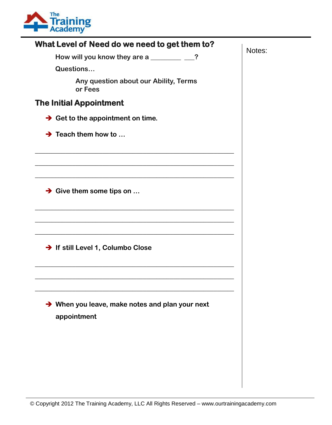

| What Level of Need do we need to get them to?                  | Notes: |
|----------------------------------------------------------------|--------|
| How will you know they are a _____________?                    |        |
| Questions                                                      |        |
| Any question about our Ability, Terms<br>or Fees               |        |
| <b>The Initial Appointment</b>                                 |        |
| $\rightarrow$ Get to the appointment on time.                  |        |
| $\rightarrow$ Teach them how to                                |        |
|                                                                |        |
|                                                                |        |
| $\rightarrow$ Give them some tips on                           |        |
| → If still Level 1, Columbo Close                              |        |
|                                                                |        |
| → When you leave, make notes and plan your next<br>appointment |        |
|                                                                |        |